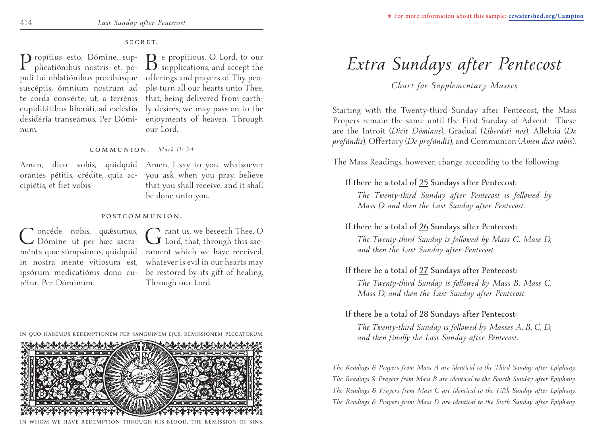# SECRET.

num.

P ropítius esto, Dómine, sup-<br>plicatiónibus nostris: et, pó-<br> $\sum_{c}$  e propitious, and accept the puli tui oblatiónibus precibúsque offerings and prayers of Thy peosuscéptis, ómnium nostrum ad ple: turn all our hearts unto Thee, te corda convérte; ut, a terrénis that, being delivered from earthcupiditátibus liberáti, ad cæléstia ly desires, we may pass on to the desidéria transeámus. Per Dómi-enjoyments of heaven. Through our Lord.

### COMMUNION. *Mark 11: 24*

cipiétis, et fiet vobis.

Amen, dico vobis, quidquid Amen, I say to you, whatsoever orántes pétitis, crédite, quia ac-you ask when you pray, believe that you shall receive, and it shall be done unto you.

#### POSTCOMMUNION.

Concéde nobis, quésumus,<br>CDómine: ut per hæc sacrarétur. Per Dóminum.

ménta quæ súmpsimus, quidquid rament which we have received, in nostra mente vitiósum est, whatever is evil in our hearts may ipsórum medicatiónis dono cu-be restored by its gift of healing. Grant us, we beseech Thee, O<br>
Grand, that, through this sac-Through our Lord.

#### **IN QUO HABEMUS REDEMPTIONEM PER SANGUINEM EJUS, REMISSIONEM PECCATORUM.** detertatetatetatetatet the teletion to the teletion



#### REDEMPTION THROUGH HIS BLOOD, THE REMISSION

# *Extra Sundays after Pentecost*

*Chart for Supplementary Masses*

Starting with the Twenty-third Sunday after Pentecost, the Mass Propers remain the same until the First Sunday of Advent. These are the Introit (*Dicit Dóminus*), Gradual (*Liberásti nos*), Alleluia (*De profúndis*), Offertory (*De profúndis*), and Communion (*Amen dico vobis*).

The Mass Readings, however, change according to the following:

# **If there be a total of 25 Sundays after Pentecost:**

*The Twenty-third Sunday after Pentecost is followed by Mass D and then the Last Sunday after Pentecost.*

# **If there be a total of 26 Sundays after Pentecost:**

*The Twenty-third Sunday is followed by Mass C, Mass D, and then the Last Sunday after Pentecost.*

# **If there be a total of 27 Sundays after Pentecost:**

*The Twenty-third Sunday is followed by Mass B, Mass C, Mass D, and then the Last Sunday after Pentecost.*

# **If there be a total of 28 Sundays after Pentecost:**

*The Twenty-third Sunday is followed by Masses A, B, C, D, and then finally the Last Sunday after Pentecost.*

*The Readings & Prayers from Mass A are identical to the Third Sunday after Epiphany. The Readings & Prayers from Mass B are identical to the Fourth Sunday after Epiphany. The Readings & Prayers from Mass C are identical to the Fifth Sunday after Epiphany. The Readings & Prayers from Mass D are identical to the Sixth Sunday after Epiphany.*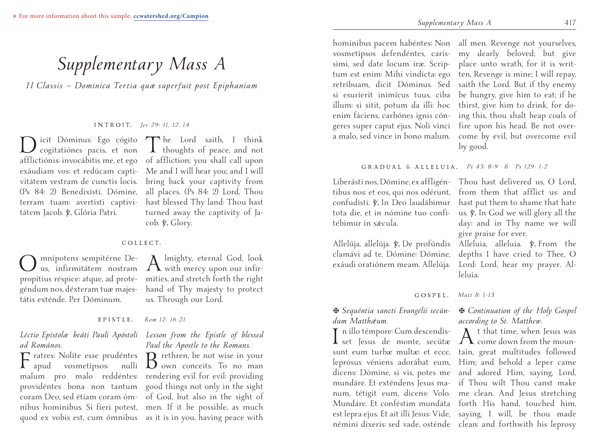# *Supplementary Mass A*

*I I Classis — Dominica Tertia quæ superfuit post Epiphaniam*

INTROIT. *Jer 29: 11, 12, 14*

Dicit Dóminus: Ego cógito cogitatiónes pacis, et non tátem Jacob. y. Glória Patri.

afflictiónis: invocábitis me, et ego of affliction; you shall call upon exáudiam vos: et redúcam capti-Me and I will hear you; and I will vitátem vestram de cunctis locis. bring back your captivity from (Ps 84: 2) Benedixísti, Dómine, all places. (Ps 84: 2) Lord, Thou terram tuam: avertísti captivi-hast blessed Thy land: Thou hast The Lord saith, I think<br>thoughts of peace, and not turned away the captivity of Jacob.  $\hat{\mathbf{y}}$ . Glory.

#### COLLECT.

O mnípotens sempitérne De-us, infirmitátem nostram propítius réspice: atque, ad protegéndum nos, déxteram tuæ majestátis exténde. Per Dóminum.

 $A$  lmighty, eternal God, look<br>with mercy upon our infirmities, and stretch forth the right hand of Thy majesty to protect us. Through our Lord.

EPISTLE. *Rom 12: 16-21*

# *ad Romános.*

 $\Gamma$  ratres: Nolíte esse prudéntes  $B$  rethren, be not wise in your appear and provident system. vosmetípsos:

## *Léctio Epístolæ beáti Pauli Apóstoli Lesson from the Epistle of blessed Paul the Apostle to the Romans.*

malum pro malo reddéntes: rendering evil for evil: providing providéntes bona non tantum good things not only in the sight coram Deo, sed étiam coram óm-of God, but also in the sight of nibus homínibus. Si fíeri potest, men. If it be possible, as much quod ex vobis est, cum ómnibus as it is in you, having peace with  $B$  rethren, be not wise in your<br>own conceits. To no man

homínibus pacem habéntes: Non all men. Revenge not yourselves, vosmetípsos defendéntes, carís-my dearly beloved; but give simi, sed date locum iræ. Scrip-place unto wrath, for it is writtum est enim: Mihi vindícta: ego ten, Revenge is mine; I will repay, retríbuam, dicit Dóminus. Sed saith the Lord. But if thy enemy si esuríerit inimícus tuus, ciba be hungry, give him to eat; if he illum: si sitit, potum da illi: hoc thirst, give him to drink, for doenim fáciens, carbónes ignis cóngeres super caput ejus. Noli vinci fire upon his head. Be not overa malo, sed vince in bono malum. come by evil, but overcome evil

ing this, thou shalt heap coals of by good.

#### GRADUAL & ALLELUIA. *Ps 43: 8-9 & Ps 129: 1-2*

Liberásti nos, Dómine, ex affligén-Thou hast delivered us, O Lord, tibus nos: et eos, qui nos odérunt, confudísti. V. In Deo laudábimur tota die, et in nómine tuo confitébimur in sǽcula.

Allelúja, allelúja. V. De profúndis Alleluia, alleluia. V. From the clamávi ad te, Dómine: Dómine, exáudi oratiónem meam. Allelúja.

from them that afflict us: and hast put them to shame that hate us.  $\hat{y}$ . In God we will glory all the day: and in Thy name we will give praise for ever.

depths I have cried to Thee, O Lord: Lord, hear my prayer. Alleluia.

GOSPEL. *Matt 8: 1-13*

### X *Sequéntia sancti Evangélii secún-*X *Continuation of the Holy Gospel according to St. Matthew.*

 $A$ <sup>t</sup> that time, when Jesus was<br>come down from the moun-

# *dum Matthǽum.*

I n illo témpore: Cum descendís-set Jesus de monte, secútæ sunt eum turbæ multæ: et ecce, tain, great multitudes followed leprósus véniens adorábat eum, Him; and behold a leper came dicens: Dómine, si vis, potes me and adored Him, saying, Lord, mundáre. Et exténdens Jesus ma-if Thou wilt Thou canst make num, tétigit eum, dicens: Volo. me clean. And Jesus stretching Mundáre. Et conféstim mundáta forth His hand, touched him, est lepra ejus. Et ait illi Jesus: Vide, saying, I will, be thou made némini díxeris: sed vade, osténde clean: and forthwith his leprosy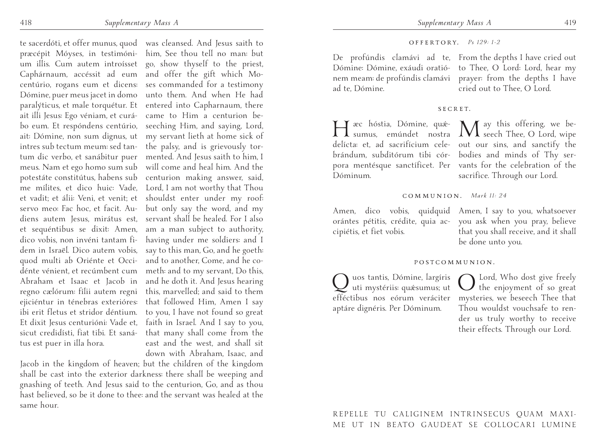te sacerdóti, et offer munus, quod was cleansed. And Jesus saith to præcépit Móyses, in testimóni-him, See thou tell no man: but um illis. Cum autem introísset go, show thyself to the priest, Caphárnaum, accéssit ad eum and offer the gift which Mocentúrio, rogans eum et dicens: ses commanded for a testimony Dómine, puer meus jacet in domo unto them. And when He had paralýticus, et male torquétur. Et entered into Capharnaum, there ait illi Jesus: Ego véniam, et curá-came to Him a centurion bebo eum. Et respóndens centúrio, seeching Him, and saying, Lord, ait: Dómine, non sum dignus, ut my servant lieth at home sick of intres sub tectum meum: sed tan-the palsy, and is grievously tortum dic verbo, et sanábitur puer mented. And Jesus saith to him, I meus. Nam et ego homo sum sub will come and heal him. And the potestáte constitútus, habens sub centurion making answer, said, me mílites, et dico huic: Vade, Lord, I am not worthy that Thou et vadit; et álii: Veni, et venit; et shouldst enter under my roof: servo meo: Fac hoc, et facit. Au-but only say the word, and my diens autem Jesus, mirátus est, servant shall be healed. For I also et sequéntibus se dixit: Amen, am a man subject to authority, dico vobis, non invéni tantam fi-having under me soldiers: and I dem in Israël. Dico autem vobis, say to this man, Go, and he goeth: quod multi ab Oriénte et Occi-and to another, Come, and he codénte vénient, et recúmbent cum meth: and to my servant, Do this, Abraham et Isaac et Jacob in and he doth it. And Jesus hearing regno cælórum: fílii autem regni this, marvelled; and said to them ejiciéntur in ténebras exterióres: that followed Him, Amen I say ibi erit fletus et stridor déntium. to you, I have not found so great Et dixit Jesus centurióni: Vade et, faith in Israel. And I say to you, sicut credidísti, fiat tibi. Et saná-that many shall come from the tus est puer in illa hora.

east and the west, and shall sit down with Abraham, Isaac, and

Jacob in the kingdom of heaven; but the children of the kingdom shall be cast into the exterior darkness: there shall be weeping and gnashing of teeth. And Jesus said to the centurion, Go, and as thou hast believed, so be it done to thee: and the servant was healed at the same hour.

#### OFFERTORY. *Ps 129: 1-2*

De profúndis clamávi ad te, From the depths I have cried out Dómine: Dómine, exáudi oratió-to Thee, O Lord: Lord, hear my nem meam: de profúndis clamávi prayer: from the depths I have ad te, Dómine.

cried out to Thee, O Lord.

#### SECRET.

He ac hóstia, Dómine, quá-<br>
sumus, emúndet nostra May this offering, we bedelícta: et, ad sacrifícium cele-out our sins, and sanctify the brándum, subditórum tibi cór-bodies and minds of Thy serpora mentésque sanctíficet. Per vants for the celebration of the Dóminum.

sacrifice. Through our Lord.

#### COMMUNION. *Mark 11: 24*

Amen, dico vobis, quidquid Amen, I say to you, whatsoever orántes pétitis, crédite, quia ac-you ask when you pray, believe cipiétis, et fiet vobis.

that you shall receive, and it shall be done unto you.

#### POSTCOMMUNION.

Quos tantis, Dómine, largíris uti mystériis: quǽsumus; ut efféctibus nos eórum veráciter aptáre dignéris. Per Dóminum.

O Lord, Who dost give freely the enjoyment of so great mysteries, we beseech Thee that Thou wouldst vouchsafe to render us truly worthy to receive their effects. Through our Lord.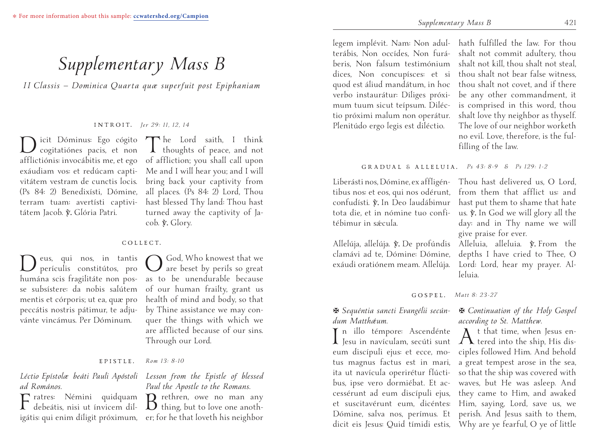# *Supplementary Mass B*

*I I Classis — Dominica Quarta quæ superfuit post Epiphaniam*

INTROIT. *Jer 29: 11, 12, 14*

Dicit Dóminus: Ego cógito cogitatiónes pacis, et non (Ps 84: 2) Benedixísti, Dómine, tátem Jacob. y. Glória Patri.

afflictiónis: invocábitis me, et ego of affliction; you shall call upon exáudiam vos: et redúcam capti-Me and I will hear you; and I will vitátem vestram de cunctis locis. bring back your captivity from terram tuam: avertísti captivi-hast blessed Thy land: Thou hast The Lord saith, I think<br>thoughts of peace, and not all places. (Ps 84: 2) Lord, Thou turned away the captivity of Jacob.  $\hat{\mathbf{y}}$ . Glory.

#### COLLECT.

Deus, qui nos, in tantis perículis constitútos, pro humána scis fragilitáte non posse subsístere: da nobis salútem mentis et córporis; ut ea, quæ pro peccátis nostris pátimur, te adjuvánte vincámus. Per Dóminum.

O God, Who knowest that we are beset by perils so great as to be unendurable because of our human frailty, grant us health of mind and body, so that by Thine assistance we may conquer the things with which we are afflicted because of our sins. Through our Lord.

#### EPISTLE. *Rom 13: 8-10*

# *Paul the Apostle to the Romans.*

 $\mathbf{B}$  rethren, owe no man any<br>thing, but to love one anoth-

legem implévit. Nam: Non adul-hath fulfilled the law. For thou terábis, Non occídes, Non furá-shalt not commit adultery, thou beris, Non falsum testimónium shalt not kill, thou shalt not steal, dices, Non concupísces: et si thou shalt not bear false witness, quod est áliud mandátum, in hoc thou shalt not covet, and if there verbo instaurátur: Díliges próximum tuum sicut teípsum. Diléctio próximi malum non operátur. Plenitúdo ergo legis est diléctio.

be any other commandment, it is comprised in this word, thou shalt love thy neighbor as thyself. The love of our neighbor worketh no evil. Love, therefore, is the fulfilling of the law.

#### GRADUAL & ALLELUIA. *Ps 43: 8-9 & Ps 129: 1-2*

Liberásti nos, Dómine, ex affligén-Thou hast delivered us, O Lord, tibus nos: et eos, qui nos odérunt, confudísti. V. In Deo laudábimur tota die, et in nómine tuo confitébimur in sǽcula.

Allelúja, allelúja. V. De profúndis Alleluia, alleluia. V. From the clamávi ad te, Dómine: Dómine, exáudi oratiónem meam. Allelúja.

I n illo témpore: Ascendénte<br>Jesu in navículam, secúti sunt eum discípuli ejus: et ecce, motus magnus factus est in mari, ita ut navícula operirétur flúctibus, ipse vero dormiébat. Et ac-

*dum Matthǽum.*

from them that afflict us: and hast put them to shame that hate us.  $\hat{y}$ . In God we will glory all the day: and in Thy name we will give praise for ever.

depths I have cried to Thee, O Lord: Lord, hear my prayer. Alleluia.

GOSPEL. *Matt 8: 23-27*

#### X *Sequéntia sancti Evangélii secún-*X *Continuation of the Holy Gospel according to St. Matthew.*

cessérunt ad eum discípuli ejus, they came to Him, and awaked et suscitavérunt eum, dicéntes: Him, saying, Lord, save us, we Dómine, salva nos, perímus. Et perish. And Jesus saith to them, dicit eis Jesus: Quid tímidi estis, Why are ye fearful, O ye of little  $A$ <sup>t</sup> that time, when Jesus en-<br>tered into the ship, His disciples followed Him. And behold a great tempest arose in the sea, so that the ship was covered with waves, but He was asleep. And

# *Léctio Epístolæ beáti Pauli Apóstoli Lesson from the Epistle of blessed ad Romános.*

Fratres: Némini quidquam debeátis, nisi ut ínvicem diligátis: qui enim díligit próximum, er; for he that loveth his neighbor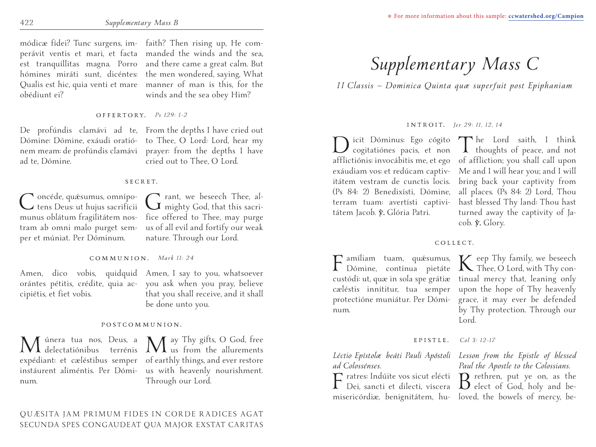obédiunt ei?

módicæ fídei? Tunc surgens, im-faith? Then rising up, He comperávit ventis et mari, et facta manded the winds and the sea, est tranquíllitas magna. Porro and there came a great calm. But hómines miráti sunt, dicéntes: the men wondered, saying, What Qualis est hic, quia venti et mare manner of man is this, for the winds and the sea obey Him?

### OFFERTORY. *Ps 129: 1-2*

ad te, Dómine.

De profúndis clamávi ad te, From the depths I have cried out Dómine: Dómine, exáudi oratió-to Thee, O Lord: Lord, hear my nem meam: de profúndis clamávi prayer: from the depths I have cried out to Thee, O Lord.

### SECRET.

Concéde, quésumus, omnípo-<br>
tens Deus: ut hujus sacrifícii Grant, we beseech Thee, almunus oblátum fragilitátem nos-fice offered to Thee, may purge tram ab omni malo purget sem-us of all evil and fortify our weak per et múniat. Per Dóminum.

nature. Through our Lord.

### COMMUNION. *Mark 11: 24*

cipiétis, et fiet vobis.

Amen, dico vobis, quidquid Amen, I say to you, whatsoever orántes pétitis, crédite, quia ac-you ask when you pray, believe that you shall receive, and it shall be done unto you.

### POSTCOMMUNION.

num.

Múnera tua nos, Deus, a May Thy gifts, O God, free<br>delectatiónibus terrénis Mus from the allurements expédiant: et cæléstibus semper of earthly things, and ever restore instáurent aliméntis. Per Dómi-us with heavenly nourishment. Through our Lord.

# *Supplementary Mass C*

*I I Classis — Dominica Quinta quæ superfuit post Epiphaniam*

# INTROIT. *Jer 29: 11, 12, 14*

Dicit Dóminus: Ego cógito The Lord saith, I think<br>cogitatiónes pacis, et non Thoughts of peace, and not afflictiónis: invocábitis me, et ego of affliction; you shall call upon exáudiam vos: et redúcam captiv-Me and I will hear you; and I will itátem vestram de cunctis locis. bring back your captivity from (Ps 84: 2) Benedixísti, Dómine, all places. (Ps 84: 2) Lord, Thou terram tuam: avertísti captivi-hast blessed Thy land: Thou hast tátem Jacob. y. Glória Patri.

turned away the captivity of Jacob.  $\hat{\mathbf{y}}$ . Glory.

### COLLECT.

F amíliam tuam, quésumus, K eep Thy family, we beseech Dómine, contínua pietáte K Thee, O Lord, with Thy concustódi: ut, quæ in sola spe grátiæ tinual mercy that, leaning only cæléstis innítitur, tua semper upon the hope of Thy heavenly protectióne muniátur. Per Dómi-grace, it may ever be defended num.

by Thy protection. Through our Lord.

## EPISTLE. *Col 3: 12-17*

*Léctio Epístolæ beáti Pauli Apóstoli Lesson from the Epistle of blessed* 

 $\Gamma$  ratres: Indúite vos sicut elécti  $\Gamma$  rethren, put ye on, as the Dei, sancti et dilecti, víscera  $\Gamma$  elect of God, holy and bemisericórdiæ, benignitátem, hu-loved, the bowels of mercy, be-

*ad Colossénses. Paul the Apostle to the Colossians.*<br> **A** ratres: Indúite vos sicut elécti **Q** rethren, put ye on, as the *Paul the Apostle to the Colossians.*

QUÆSITA JAM PRIMUM FIDES IN CORDE RADICES AGAT SECUNDA SPES CONGAUDEAT QUA MAJOR EXSTAT CARITAS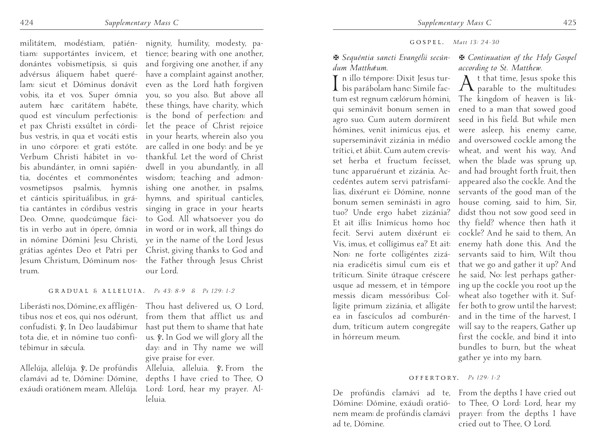trum.

militátem, modéstiam, patién-nignity, humility, modesty, patiam: supportántes ínvicem, et tience; bearing with one another, donántes vobismetípsis, si quis and forgiving one another, if any advérsus áliquem habet queré-have a complaint against another, lam: sicut et Dóminus donávit even as the Lord hath forgiven vobis, ita et vos. Super ómnia you, so you also. But above all autem hæc caritátem habéte, these things, have charity, which quod est vínculum perfectionis: is the bond of perfection: and et pax Christi exsúltet in córdi-let the peace of Christ rejoice bus vestris, in qua et vocáti estis in your hearts, wherein also you in uno córpore: et grati estóte. are called in one body: and be ye Verbum Christi hábitet in vo-thankful. Let the word of Christ bis abundánter, in omni sapién-dwell in you abundantly, in all tia, docéntes et commonéntes wisdom; teaching and admonvosmetípsos psalmis, hymnis ishing one another, in psalms, et cánticis spirituálibus, in grá-hymns, and spiritual canticles, tia cantántes in córdibus vestris singing in grace in your hearts Deo. Omne, quodcúmque fáci-to God. All whatsoever you do tis in verbo aut in ópere, ómnia in word or in work, all things do in nómine Dómini Jesu Christi, ye in the name of the Lord Jesus grátias agéntes Deo et Patri per Christ, giving thanks to God and Jesum Christum, Dóminum nos-the Father through Jesus Christ our Lord.

# GRADUAL & ALLELUIA. *Ps 43: 8-9 & Ps 129: 1-2*

tébimur in sǽcula.

Liberásti nos, Dómine, ex affligén-Thou hast delivered us, O Lord, tibus nos: et eos, qui nos odérunt, from them that afflict us: and confudísti. V. In Deo laudábimur hast put them to shame that hate tota die, et in nómine tuo confi- us.  $\tilde{v}$ . In God we will glory all the day: and in Thy name we will give praise for ever.

Allelúja, allelúja. v. De profúndis Alleluia, alleluia. v. From the clamávi ad te, Dómine: Dómine, depths I have cried to Thee, O exáudi oratiónem meam. Allelúja. Lord: Lord, hear my prayer. Alleluia.

GOSPEL. *Matt 13: 24-30*

# *dum Matthǽum.*

I n illo témpore: Dixit Jesus tur-bis parábolam hanc: Símile factum est regnum cælórum hómini, cedéntes autem servi patrisfamíin hórreum meum.

# X *Sequéntia sancti Evangélii secún-*X *Continuation of the Holy Gospel according to St. Matthew.*

qui seminávit bonum semen in ened to a man that sowed good agro suo. Cum autem dormírent seed in his field. But while men hómines, venit inimícus ejus, et were asleep, his enemy came, superseminávit zizánia in médio and oversowed cockle among the trítici, et ábiit. Cum autem crevís-wheat, and went his way, And set herba et fructum fecísset, when the blade was sprung up, tunc apparuérunt et zizánia. Ac-and had brought forth fruit, then lias, dixérunt ei: Dómine, nonne servants of the good man of the bonum semen seminásti in agro house coming, said to him, Sir, tuo? Unde ergo habet zizánia? didst thou not sow good seed in Et ait illis: Inimícus homo hoc thy field? whence then hath it fecit. Servi autem dixérunt ei: cockle? And he said to them, An Vis, imus, et collígimus ea? Et ait: enemy hath done this. And the Non: ne forte colligéntes zizá-servants said to him, Wilt thou nia eradicétis simul cum eis et that we go and gather it up? And tríticum. Sínite útraque créscere he said, No: lest perhaps gatherusque ad messem, et in témpore ing up the cockle you root up the messis dicam messóribus: Col-wheat also together with it. Suflígite primum zizánia, et alligáte fer both to grow until the harvest; ea in fascículos ad comburén-and in the time of the harvest, I dum, tríticum autem congregáte will say to the reapers, Gather up  $A_{\text{parallel}}^{\text{t that time, Jesus spoke this}}$ The kingdom of heaven is likappeared also the cockle. And the first the cockle, and bind it into bundles to burn, but the wheat gather ye into my barn.

### OFFERTORY. *Ps 129: 1-2*

De profúndis clamávi ad te, From the depths I have cried out Dómine: Dómine, exáudi oratió-to Thee, O Lord: Lord, hear my nem meam: de profúndis clamávi prayer: from the depths I have ad te, Dómine.

cried out to Thee, O Lord.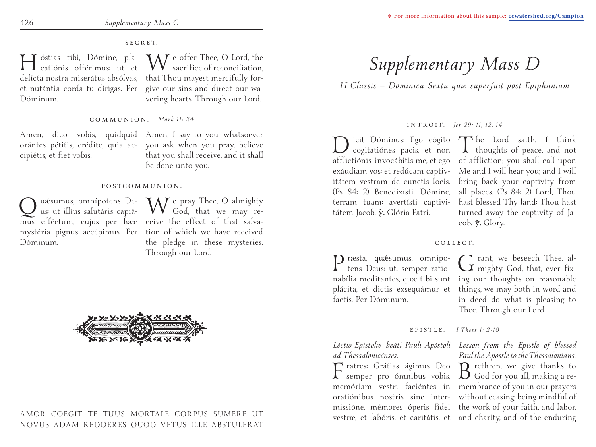### SECRET.

Hóstias tibi, Dómine, pla-catiónis offérimus: ut et delícta nostra miserátus absólvas, that Thou mayest mercifully foret nutántia corda tu dírigas. Per give our sins and direct our wa-Dóminum.

**NAT** e offer Thee, O Lord, the sacrifice of reconciliation, vering hearts. Through our Lord.

#### COMMUNION. *Mark 11: 24*

cipiétis, et fiet vobis.

Amen, dico vobis, quidquid Amen, I say to you, whatsoever orántes pétitis, crédite, quia ac-you ask when you pray, believe that you shall receive, and it shall be done unto you.

#### POSTCOMMUNION.

Q uásumus, omnípotens De-<br>us: ut illíus salutáris capiá-Dóminum.

mus efféctum, cujus per hæc ceive the effect of that salvamystéria pignus accépimus. Per tion of which we have received We pray Thee, O almighty God, that we may rethe pledge in these mysteries. Through our Lord.



# AMOR COEGIT TE TUUS MORTALE CORPUS SUMERE UT NOVUS ADAM REDDERES QUOD VETUS ILLE ABSTULERAT

# *Supplementary Mass D*

*I I Classis — Dominica Sexta quæ superfuit post Epiphaniam*

#### INTROIT. *Jer 29: 11, 12, 14*

Dicit Dóminus: Ego cógito The Lord saith, I think<br>cogitatiónes pacis, et non Thoughts of peace, and not afflictiónis: invocábitis me, et ego of affliction; you shall call upon exáudiam vos: et redúcam captiv-Me and I will hear you; and I will itátem vestram de cunctis locis. bring back your captivity from (Ps 84: 2) Benedixísti, Dómine, all places. (Ps 84: 2) Lord, Thou terram tuam: avertísti captivi-hast blessed Thy land: Thou hast tátem Jacob. y. Glória Patri.

turned away the captivity of Jacob.  $\hat{\mathbf{y}}$ . Glory.

### COLLECT.

Præsta, quǽsumus, omnípo-tens Deus: ut, semper rationabília meditántes, quæ tibi sunt ing our thoughts on reasonable plácita, et dictis exsequámur et things, we may both in word and factis. Per Dóminum.

Grant, we beseech Thee, al-mighty God, that, ever fixin deed do what is pleasing to Thee. Through our Lord.

### EPISTLE. *I Thess 1: 2-10*

*Léctio Epístolæ beáti Pauli Apóstoli Lesson from the Epistle of blessed ad Thessalonicénses.*

 $\Gamma$  ratres: Grátias ágimus Deo  $B$  rethren, we give thanks to semper pro ómnibus vobis,  $B$  God for you all, making a rememóriam vestri faciéntes in membrance of you in our prayers oratiónibus nostris sine inter-without ceasing; being mindful of missióne, mémores óperis fídei the work of your faith, and labor, vestræ, et labóris, et caritátis, et and charity, and of the enduring

*Paul the Apostle to the Thessalonians.*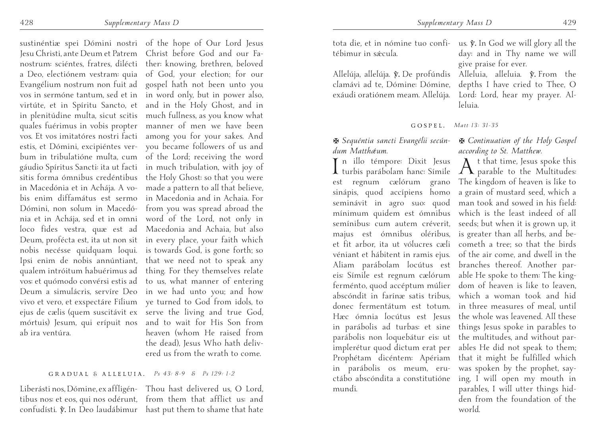sustinéntiæ spei Dómini nostri of the hope of Our Lord Jesus Jesu Christi, ante Deum et Patrem Christ before God and our Fanostrum: sciéntes, fratres, dilécti ther: knowing, brethren, beloved a Deo, electiónem vestram: quia of God, your election; for our Evangélium nostrum non fuit ad gospel hath not been unto you vos in sermóne tantum, sed et in in word only, but in power also, virtúte, et in Spíritu Sancto, et and in the Holy Ghost, and in in plenitúdine multa, sicut scitis much fullness, as you know what quales fuérimus in vobis propter manner of men we have been vos. Et vos imitatóres nostri facti among you for your sakes. And estis, et Dómini, excipiéntes ver-you became followers of us and bum in tribulatióne multa, cum of the Lord; receiving the word gáudio Spíritus Sancti: ita ut facti in much tribulation, with joy of sitis forma ómnibus credéntibus the Holy Ghost: so that you were in Macedónia et in Achája. A vo-made a pattern to all that believe, bis enim diffamátus est sermo in Macedonia and in Achaia. For Dómini, non solum in Macedó-from you was spread abroad the nia et in Achája, sed et in omni word of the Lord, not only in loco fides vestra, quæ est ad Macedonia and Achaia, but also Deum, profécta est, ita ut non sit in every place, your faith which nobis necésse quidquam loqui. is towards God, is gone forth; so Ipsi enim de nobis annúntiant, that we need not to speak any qualem intróitum habuérimus ad thing. For they themselves relate vos: et quómodo convérsi estis ad to us, what manner of entering Deum a simulácris, servíre Deo in we had unto you; and how vivo et vero, et exspectáre Fílium ye turned to God from idols, to ejus de cælis (quem suscitávit ex serve the living and true God, mórtuis) Jesum, qui erípuit nos and to wait for His Son from ab ira ventúra.

heaven (whom He raised from the dead), Jesus Who hath delivered us from the wrath to come.

#### GRADUAL & ALLELUIA. *Ps 43: 8-9 & Ps 129: 1-2*

Liberásti nos, Dómine, ex affligén-Thou hast delivered us, O Lord, tibus nos: et eos, qui nos odérunt, from them that afflict us: and confudísti. V. In Deo laudábimur hast put them to shame that hate

tota die, et in nómine tuo confi- us.  $\tilde{v}$ . In God we will glory all the tébimur in sǽcula.

Allelúja, allelúja. *y*. De profúndis clamávi ad te, Dómine: Dómine, exáudi oratiónem meam. Allelúja. Lord: Lord, hear my prayer. Al-

I n illo témpore: Dixit Jesus turbis parábolam hanc: Símile est regnum cælórum grano sinápis, quod accípiens homo

implerétur quod dictum erat per Prophétam dicéntem: Apériam in parábolis os meum, eructábo abscóndita a constitutióne

mundi.

*dum Matthǽum.*

GOSPEL. *Matt 13: 31-35*

leluia.

#### X *Sequéntia sancti Evangélii secún-*X *Continuation of the Holy Gospel according to St. Matthew.*

day: and in Thy name we will

Alleluia, alleluia.  $\hat{y}$ . From the depths I have cried to Thee, O

give praise for ever.

seminávit in agro suo: quod man took and sowed in his field: mínimum quidem est ómnibus which is the least indeed of all semínibus: cum autem créverit, seeds; but when it is grown up, it majus est ómnibus oléribus, is greater than all herbs, and beet fit arbor, ita ut vólucres cæli cometh a tree; so that the birds véniant et hábitent in ramis ejus. of the air come, and dwell in the Aliam parábolam locútus est branches thereof. Another pareis: Símile est regnum cælórum able He spoke to them: The kingferménto, quod accéptum múlier dom of heaven is like to leaven, abscóndit in farínæ satis tribus, which a woman took and hid donec fermentátum est totum. in three measures of meal, until Hæc ómnia locútus est Jesus the whole was leavened. All these in parábolis ad turbas: et sine things Jesus spoke in parables to parábolis non loquebátur eis: ut the multitudes, and without par- $A_{\text{parallel}}^{\text{t that time, Jesus spoke this}}$ The kingdom of heaven is like to a grain of mustard seed, which a ables He did not speak to them; that it might be fulfilled which was spoken by the prophet, saying, I will open my mouth in parables, I will utter things hidden from the foundation of the world.